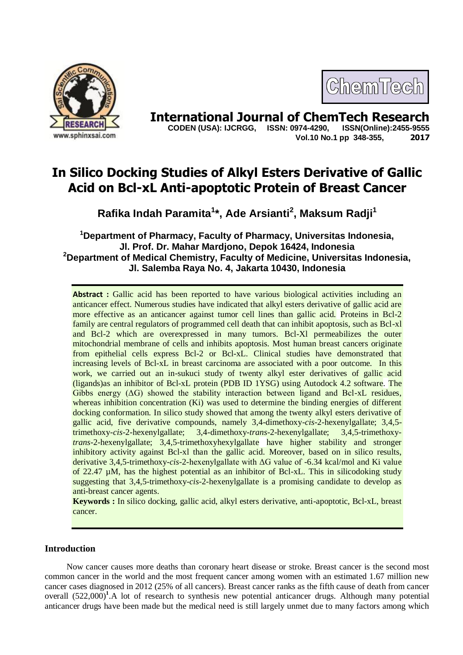

# ChemTech

**International Journal of ChemTech Research Copen (USA): IJCRGG. ISSN: 0974-4290. ISSN(Online):2455-9555 CODEN (USA): IJCRGG, ISSN: 0974-4290, Vol.10 No.1 pp 348-355, 2017**

## **In Silico Docking Studies of Alkyl Esters Derivative of Gallic Acid on Bcl-xL Anti-apoptotic Protein of Breast Cancer**

**Rafika Indah Paramita<sup>1</sup> \*, Ade Arsianti<sup>2</sup> , Maksum Radji<sup>1</sup>**

**<sup>1</sup>Department of Pharmacy, Faculty of Pharmacy, Universitas Indonesia, Jl. Prof. Dr. Mahar Mardjono, Depok 16424, Indonesia <sup>2</sup>Department of Medical Chemistry, Faculty of Medicine, Universitas Indonesia, Jl. Salemba Raya No. 4, Jakarta 10430, Indonesia**

**Abstract :** Gallic acid has been reported to have various biological activities including an anticancer effect. Numerous studies have indicated that alkyl esters derivative of gallic acid are more effective as an anticancer against tumor cell lines than gallic acid. Proteins in Bcl-2 family are central regulators of programmed cell death that can inhibit apoptosis, such as Bcl-xl and Bcl-2 which are overexpressed in many tumors. Bcl-Xl permeabilizes the outer mitochondrial membrane of cells and inhibits apoptosis. Most human breast cancers originate from epithelial cells express Bcl-2 or Bcl-xL. Clinical studies have demonstrated that increasing levels of Bcl-xL in breast carcinoma are associated with a poor outcome. In this work, we carried out an in-sukuci study of twenty alkyl ester derivatives of gallic acid (ligands)as an inhibitor of Bcl-xL protein (PDB ID 1YSG) using Autodock 4.2 software. The Gibbs energy  $(\Delta G)$  showed the stability interaction between ligand and Bcl-xL residues, whereas inhibition concentration (Ki) was used to determine the binding energies of different docking conformation. In silico study showed that among the twenty alkyl esters derivative of gallic acid, five derivative compounds, namely 3,4-dimethoxy-*cis*-2-hexenylgallate; 3,4,5 trimethoxy-*cis*-2-hexenylgallate; 3,4-dimethoxy-*trans*-2-hexenylgallate; 3,4,5-trimethoxy*trans*-2-hexenylgallate; 3,4,5-trimethoxyhexylgallate have higher stability and stronger inhibitory activity against Bcl-xl than the gallic acid. Moreover, based on in silico results, derivative 3,4,5-trimethoxy-*cis*-2-hexenylgallate with ΔG value of -6.34 kcal/mol and Ki value of 22.47 µM, has the highest potential as an inhibitor of Bcl-xL. This in silicodoking study suggesting that 3,4,5-trimethoxy-*cis*-2-hexenylgallate is a promising candidate to develop as anti-breast cancer agents.

**Keywords :** In silico docking, gallic acid, alkyl esters derivative, anti-apoptotic, Bcl-xL, breast cancer.

### **Introduction**

Now cancer causes more deaths than coronary heart disease or stroke. Breast cancer is the second most common cancer in the world and the most frequent cancer among women with an estimated 1.67 million new cancer cases diagnosed in 2012 (25% of all cancers). Breast cancer ranks as the fifth cause of death from cancer overall (522,000)<sup>1</sup>.A lot of research to synthesis new potential anticancer drugs. Although many potential anticancer drugs have been made but the medical need is still largely unmet due to many factors among which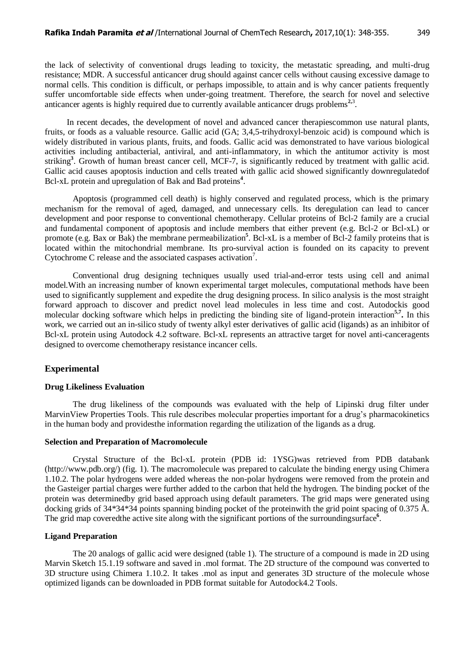the lack of selectivity of conventional drugs leading to toxicity, the metastatic spreading, and multi-drug resistance; MDR. A successful anticancer drug should against cancer cells without causing excessive damage to normal cells. This condition is difficult, or perhaps impossible, to attain and is why cancer patients frequently suffer uncomfortable side effects when under-going treatment. Therefore, the search for novel and selective anticancer agents is highly required due to currently available anticancer drugs problems<sup>2,3</sup>.

In recent decades, the development of novel and advanced cancer therapiescommon use natural plants, fruits, or foods as a valuable resource. Gallic acid (GA; 3,4,5-trihydroxyl-benzoic acid) is compound which is widely distributed in various plants, fruits, and foods. Gallic acid was demonstrated to have various biological activities including antibacterial, antiviral, and anti-inflammatory, in which the antitumor activity is most striking<sup>3</sup>. Growth of human breast cancer cell, MCF-7, is significantly reduced by treatment with gallic acid. Gallic acid causes apoptosis induction and cells treated with gallic acid showed significantly downregulatedof Bcl-xL protein and upregulation of Bak and Bad proteins**<sup>4</sup>** .

Apoptosis (programmed cell death) is highly conserved and regulated process, which is the primary mechanism for the removal of aged, damaged, and unnecessary cells. Its deregulation can lead to cancer development and poor response to conventional chemotherapy. Cellular proteins of Bcl-2 family are a crucial and fundamental component of apoptosis and include members that either prevent (e.g. Bcl-2 or Bcl-xL) or promote (e.g. Bax or Bak) the membrane permeabilization<sup>5</sup>. Bcl-xL is a member of Bcl-2 family proteins that is located within the mitochondrial membrane. Its pro-survival action is founded on its capacity to prevent Cytochrome C release and the associated caspases activation<sup>7</sup>.

Conventional drug designing techniques usually used trial-and-error tests using cell and animal model.With an increasing number of known experimental target molecules, computational methods have been used to significantly supplement and expedite the drug designing process. In silico analysis is the most straight forward approach to discover and predict novel lead molecules in less time and cost. Autodockis good molecular docking software which helps in predicting the binding site of ligand-protein interaction**5,7 .** In this work, we carried out an in-silico study of twenty alkyl ester derivatives of gallic acid (ligands) as an inhibitor of Bcl-xL protein using Autodock 4.2 software. Bcl-xL represents an attractive target for novel anti-canceragents designed to overcome chemotherapy resistance incancer cells.

#### **Experimental**

#### **Drug Likeliness Evaluation**

The drug likeliness of the compounds was evaluated with the help of Lipinski drug filter under MarvinView Properties Tools. This rule describes molecular properties important for a drug's pharmacokinetics in the human body and providesthe information regarding the utilization of the ligands as a drug.

#### **Selection and Preparation of Macromolecule**

Crystal Structure of the Bcl-xL protein (PDB id: 1YSG)was retrieved from PDB databank (http://www.pdb.org/) (fig. 1). The macromolecule was prepared to calculate the binding energy using Chimera 1.10.2. The polar hydrogens were added whereas the non-polar hydrogens were removed from the protein and the Gasteiger partial charges were further added to the carbon that held the hydrogen. The binding pocket of the protein was determinedby grid based approach using default parameters. The grid maps were generated using docking grids of 34\*34\*34 points spanning binding pocket of the proteinwith the grid point spacing of 0.375 Å. The grid map coveredthe active site along with the significant portions of the surroundingsurface<sup>6</sup>.

#### **Ligand Preparation**

The 20 analogs of gallic acid were designed (table 1). The structure of a compound is made in 2D using Marvin Sketch 15.1.19 software and saved in .mol format. The 2D structure of the compound was converted to 3D structure using Chimera 1.10.2. It takes .mol as input and generates 3D structure of the molecule whose optimized ligands can be downloaded in PDB format suitable for Autodock4.2 Tools.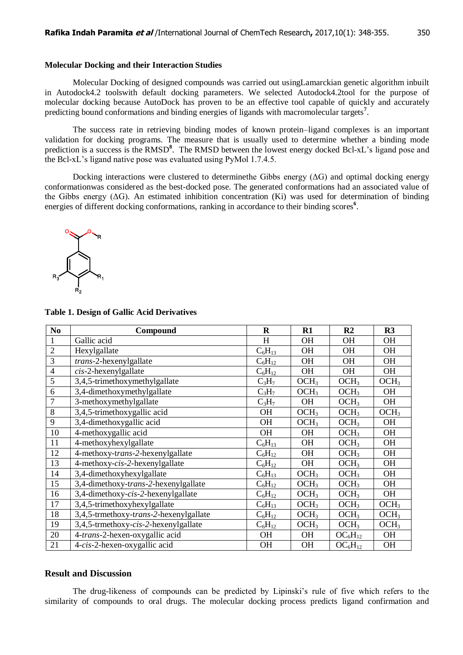#### **Molecular Docking and their Interaction Studies**

Molecular Docking of designed compounds was carried out usingLamarckian genetic algorithm inbuilt in Autodock4.2 toolswith default docking parameters. We selected Autodock4.2tool for the purpose of molecular docking because AutoDock has proven to be an effective tool capable of quickly and accurately predicting bound conformations and binding energies of ligands with macromolecular targets**<sup>7</sup>** .

The success rate in retrieving binding modes of known protein–ligand complexes is an important validation for docking programs. The measure that is usually used to determine whether a binding mode prediction is a success is the RMSD<sup>8</sup>. The RMSD between the lowest energy docked Bcl-xL's ligand pose and the Bcl-xL's ligand native pose was evaluated using PyMol 1.7.4.5.

Docking interactions were clustered to determine the Gibbs energy  $( \Delta G )$  and optimal docking energy conformationwas considered as the best-docked pose. The generated conformations had an associated value of the Gibbs energy (ΔG). An estimated inhibition concentration (Ki) was used for determination of binding energies of different docking conformations, ranking in accordance to their binding scores<sup>6</sup>.



| N <sub>0</sub> | Compound                               | $\mathbf R$ | $R1$             | R <sub>2</sub>   | R3               |
|----------------|----------------------------------------|-------------|------------------|------------------|------------------|
|                | Gallic acid                            | H           | <b>OH</b>        | <b>OH</b>        | <b>OH</b>        |
| $\overline{2}$ | Hexylgallate                           | $C_6H_{13}$ | <b>OH</b>        | <b>OH</b>        | <b>OH</b>        |
| 3              | trans-2-hexenylgallate                 | $C_6H_{12}$ | <b>OH</b>        | <b>OH</b>        | <b>OH</b>        |
| $\overline{4}$ | $cis$ -2-hexenylgallate                | $C_6H_{12}$ | <b>OH</b>        | <b>OH</b>        | OH               |
| $\overline{5}$ | 3,4,5-trimethoxymethylgallate          | $C_3H_7$    | OCH <sub>3</sub> | OCH <sub>3</sub> | OCH <sub>3</sub> |
| 6              | 3,4-dimethoxymethylgallate             | $C_3H_7$    | OCH <sub>3</sub> | OCH <sub>3</sub> | <b>OH</b>        |
| $\overline{7}$ | 3-methoxymethylgallate                 | $C_3H_7$    | OH               | OCH <sub>3</sub> | OH               |
| 8              | 3,4,5-trimethoxygallic acid            | OH          | OCH <sub>3</sub> | OCH <sub>3</sub> | OCH <sub>3</sub> |
| 9              | 3,4-dimethoxygallic acid               | <b>OH</b>   | OCH <sub>3</sub> | OCH <sub>3</sub> | <b>OH</b>        |
| 10             | 4-methoxygallic acid                   | <b>OH</b>   | <b>OH</b>        | OCH <sub>3</sub> | <b>OH</b>        |
| 11             | 4-methoxyhexylgallate                  | $C_6H_{13}$ | OH               | OCH <sub>3</sub> | <b>OH</b>        |
| 12             | 4-methoxy-trans-2-hexenylgallate       | $C_6H_{12}$ | <b>OH</b>        | OCH <sub>3</sub> | <b>OH</b>        |
| 13             | 4-methoxy-cis-2-hexenylgallate         | $C_6H_{12}$ | <b>OH</b>        | OCH <sub>3</sub> | <b>OH</b>        |
| 14             | 3,4-dimethoxyhexylgallate              | $C_6H_{13}$ | OCH <sub>3</sub> | OCH <sub>3</sub> | <b>OH</b>        |
| 15             | 3,4-dimethoxy-trans-2-hexenylgallate   | $C_6H_{12}$ | OCH <sub>3</sub> | OCH <sub>3</sub> | <b>OH</b>        |
| 16             | 3,4-dimethoxy-cis-2-hexenylgallate     | $C_6H_{12}$ | OCH <sub>3</sub> | OCH <sub>3</sub> | <b>OH</b>        |
| 17             | 3,4,5-trimethoxyhexylgallate           | $C_6H_{13}$ | OCH <sub>3</sub> | OCH <sub>3</sub> | OCH <sub>3</sub> |
| 18             | 3,4,5-trmethoxy-trans-2-hexenylgallate | $C_6H_{12}$ | OCH <sub>3</sub> | OCH <sub>3</sub> | OCH <sub>3</sub> |
| 19             | 3,4,5-trmethoxy-cis-2-hexenylgallate   | $C_6H_{12}$ | OCH <sub>3</sub> | OCH <sub>3</sub> | OCH <sub>3</sub> |
| 20             | 4-trans-2-hexen-oxygallic acid         | <b>OH</b>   | <b>OH</b>        | $OC_6H_{12}$     | <b>OH</b>        |
| 21             | 4-cis-2-hexen-oxygallic acid           | OH          | OH               | $OC_6H_{12}$     | <b>OH</b>        |

#### **Table 1. Design of Gallic Acid Derivatives**

#### **Result and Discussion**

The drug-likeness of compounds can be predicted by Lipinski's rule of five which refers to the similarity of compounds to oral drugs. The molecular docking process predicts ligand confirmation and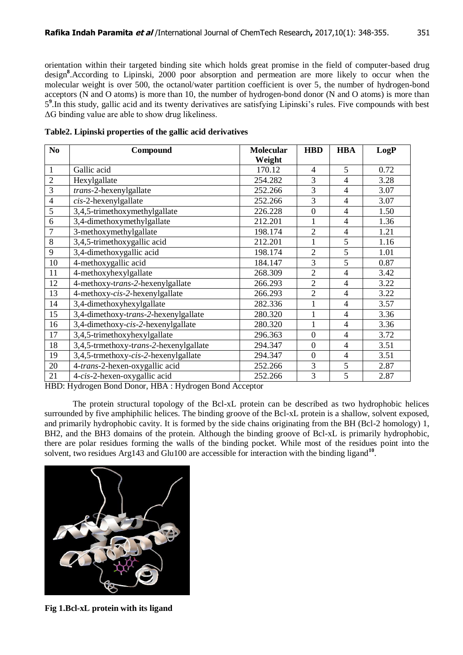orientation within their targeted binding site which holds great promise in the field of computer-based drug design**<sup>8</sup>** .According to Lipinski, 2000 poor absorption and permeation are more likely to occur when the molecular weight is over 500, the octanol/water partition coefficient is over 5, the number of hydrogen-bond acceptors (N and O atoms) is more than 10, the number of hydrogen-bond donor (N and O atoms) is more than 5<sup>9</sup>. In this study, gallic acid and its twenty derivatives are satisfying Lipinski's rules. Five compounds with best ΔG binding value are able to show drug likeliness.

| N <sub>0</sub> | Compound                               | <b>Molecular</b> | <b>HBD</b>       | <b>HBA</b>     | LogP |
|----------------|----------------------------------------|------------------|------------------|----------------|------|
|                |                                        | Weight           |                  |                |      |
| $\mathbf{1}$   | Gallic acid                            | 170.12           | $\overline{4}$   | 5              | 0.72 |
| $\overline{2}$ | Hexylgallate                           | 254.282          | 3                | $\overline{4}$ | 3.28 |
| 3              | trans-2-hexenylgallate                 | 252.266          | 3                | $\overline{4}$ | 3.07 |
| $\overline{4}$ | $cis$ -2-hexenylgallate                | 252.266          | 3                | $\overline{4}$ | 3.07 |
| 5              | 3,4,5-trimethoxymethylgallate          | 226.228          | $\overline{0}$   | $\overline{4}$ | 1.50 |
| 6              | 3,4-dimethoxymethylgallate             | 212.201          |                  | $\overline{4}$ | 1.36 |
| 7              | 3-methoxymethylgallate                 | 198.174          | $\overline{2}$   | $\overline{4}$ | 1.21 |
| 8              | 3,4,5-trimethoxygallic acid            | 212.201          | 1                | 5              | 1.16 |
| 9              | 3,4-dimethoxygallic acid               | 198.174          | $\overline{2}$   | $\overline{5}$ | 1.01 |
| 10             | 4-methoxygallic acid                   | 184.147          | 3                | 5              | 0.87 |
| 11             | 4-methoxyhexylgallate                  | 268.309          | $\overline{2}$   | $\overline{4}$ | 3.42 |
| 12             | 4-methoxy-trans-2-hexenylgallate       | 266.293          | $\overline{2}$   | $\overline{4}$ | 3.22 |
| 13             | 4-methoxy-cis-2-hexenylgallate         | 266.293          | $\overline{2}$   | 4              | 3.22 |
| 14             | 3,4-dimethoxyhexylgallate              | 282.336          |                  | $\overline{4}$ | 3.57 |
| 15             | 3,4-dimethoxy-trans-2-hexenylgallate   | 280.320          |                  | $\overline{4}$ | 3.36 |
| 16             | 3,4-dimethoxy-cis-2-hexenylgallate     | 280.320          | 1                | $\overline{4}$ | 3.36 |
| 17             | 3,4,5-trimethoxyhexylgallate           | 296.363          | $\overline{0}$   | $\overline{4}$ | 3.72 |
| 18             | 3,4,5-trmethoxy-trans-2-hexenylgallate | 294.347          | $\boldsymbol{0}$ | $\overline{4}$ | 3.51 |
| 19             | 3,4,5-trmethoxy-cis-2-hexenylgallate   | 294.347          | $\overline{0}$   | $\overline{4}$ | 3.51 |
| 20             | 4-trans-2-hexen-oxygallic acid         | 252.266          | 3                | 5              | 2.87 |
| 21             | 4-cis-2-hexen-oxygallic acid           | 252.266          | 3                | 5              | 2.87 |

**Table2. Lipinski properties of the gallic acid derivatives**

HBD: Hydrogen Bond Donor, HBA : Hydrogen Bond Acceptor

The protein structural topology of the Bcl-xL protein can be described as two hydrophobic helices surrounded by five amphiphilic helices. The binding groove of the Bcl-xL protein is a shallow, solvent exposed, and primarily hydrophobic cavity. It is formed by the side chains originating from the BH (Bcl-2 homology) 1, BH2, and the BH3 domains of the protein. Although the binding groove of Bcl-xL is primarily hydrophobic, there are polar residues forming the walls of the binding pocket. While most of the residues point into the solvent, two residues Arg143 and Glu100 are accessible for interaction with the binding ligand<sup>10</sup>.



**Fig 1.Bcl-xL protein with its ligand**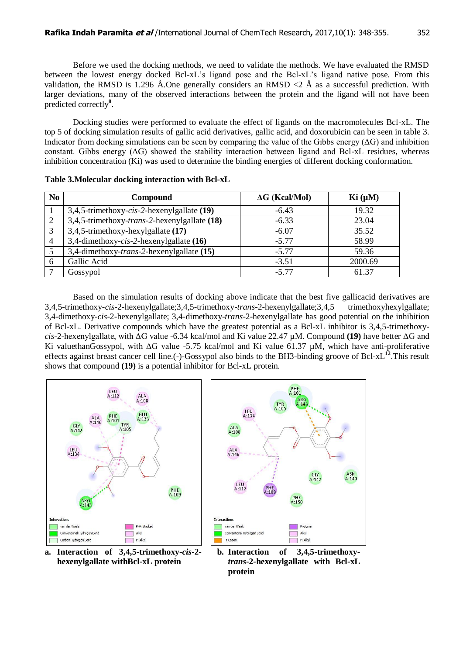Before we used the docking methods, we need to validate the methods. We have evaluated the RMSD between the lowest energy docked Bcl-xL's ligand pose and the Bcl-xL's ligand native pose. From this validation, the RMSD is 1.296 Å.One generally considers an RMSD  $\langle 2 \rangle$  Å as a successful prediction. With larger deviations, many of the observed interactions between the protein and the ligand will not have been predicted correctly**<sup>8</sup>** .

Docking studies were performed to evaluate the effect of ligands on the macromolecules Bcl-xL. The top 5 of docking simulation results of gallic acid derivatives, gallic acid, and doxorubicin can be seen in table 3. Indicator from docking simulations can be seen by comparing the value of the Gibbs energy  $( \Delta G)$  and inhibition constant. Gibbs energy  $( \Delta G)$  showed the stability interaction between ligand and Bcl-xL residues, whereas inhibition concentration (Ki) was used to determine the binding energies of different docking conformation.

| N <sub>0</sub> | Compound                                             | $\Delta G$ (Kcal/Mol) | Ki (µM) |  |
|----------------|------------------------------------------------------|-----------------------|---------|--|
|                | 3,4,5-trimethoxy-cis-2-hexenylgallate $(19)$         | $-6.43$               | 19.32   |  |
| 2              | 3,4,5-trimethoxy-trans-2-hexenylgallate (18)         | $-6.33$               | 23.04   |  |
| 3              | 3,4,5-trimethoxy-hexylgallate (17)                   | $-6.07$               | 35.52   |  |
| 4              | 3,4-dimethoxy-cis-2-hexenylgallate $(16)$            | $-5.77$               | 58.99   |  |
|                | 3,4-dimethoxy- <i>trans</i> -2-hexenylgallate $(15)$ | $-5.77$               | 59.36   |  |
| 6              | Gallic Acid                                          | $-3.51$               | 2000.69 |  |
|                | Gossypol                                             | $-5.77$               | 61.37   |  |

**Table 3.Molecular docking interaction with Bcl-xL**

Based on the simulation results of docking above indicate that the best five gallicacid derivatives are 3,4,5-trimethoxy-*cis*-2-hexenylgallate;3,4,5-trimethoxy*-trans*-2-hexenylgallate;3,4,5 trimethoxyhexylgallate; 3,4-dimethoxy-*cis*-2-hexenylgallate; 3,4-dimethoxy*-trans*-2-hexenylgallate has good potential on the inhibition of Bcl-xL. Derivative compounds which have the greatest potential as a Bcl-xL inhibitor is 3,4,5-trimethoxy*cis-*2-hexenylgallate, with ΔG value -6.34 kcal/mol and Ki value 22.47 µM. Compound **(19)** have better ΔG and Ki valuethanGossypol, with ΔG value -5.75 kcal/mol and Ki value 61.37 µM, which have anti-proliferative effects against breast cancer cell line.(-)-Gossypol also binds to the BH3-binding groove of Bcl-xL<sup>12</sup>. This result shows that compound **(19)** is a potential inhibitor for Bcl-xL protein.



**a. Interaction of 3,4,5-trimethoxy-***cis***-2** **hexenylgallate withBcl-xL protein**



**b. Interaction of 3,4,5-trimethoxy***trans***-2***-***hexenylgallate with Bcl-xL protein**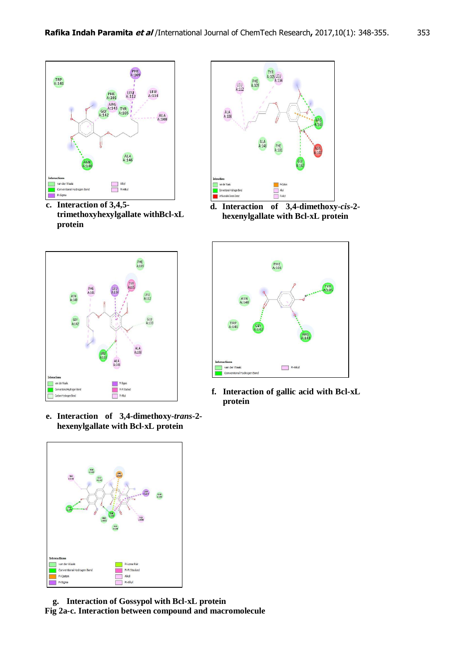

**c. Interaction of 3,4,5 trimethoxyhexylgallate withBcl-xL protein**



**e. Interaction of 3,4-dimethoxy-***trans***-2** **hexenylgallate with Bcl-xL protein**



**g. Interaction of Gossypol with Bcl-xL protein Fig 2a-c. Interaction between compound and macromolecule**



**d. Interaction of 3,4-dimethoxy-***cis***-2** **hexenylgallate with Bcl-xL protein**



**f. Interaction of gallic acid with Bcl-xL protein**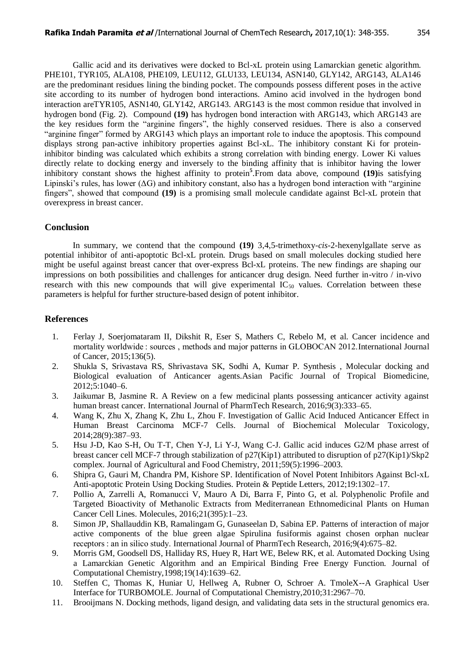Gallic acid and its derivatives were docked to Bcl-xL protein using Lamarckian genetic algorithm. PHE101, TYR105, ALA108, PHE109, LEU112, GLU133, LEU134, ASN140, GLY142, ARG143, ALA146 are the predominant residues lining the binding pocket. The compounds possess different poses in the active site according to its number of hydrogen bond interactions. Amino acid involved in the hydrogen bond interaction areTYR105, ASN140, GLY142, ARG143. ARG143 is the most common residue that involved in hydrogen bond (Fig. 2). Compound **(19)** has hydrogen bond interaction with ARG143, which ARG143 are the key residues form the "arginine fingers", the highly conserved residues. There is also a conserved "arginine finger" formed by ARG143 which plays an important role to induce the apoptosis. This compound displays strong pan-active inhibitory properties against Bcl-xL. The inhibitory constant Ki for proteininhibitor binding was calculated which exhibits a strong correlation with binding energy. Lower Ki values directly relate to docking energy and inversely to the binding affinity that is inhibitor having the lower inhibitory constant shows the highest affinity to protein**<sup>5</sup>** .From data above, compound **(19)**is satisfying Lipinski's rules, has lower  $( \Delta G)$  and inhibitory constant, also has a hydrogen bond interaction with "arginine" fingers", showed that compound **(19)** is a promising small molecule candidate against Bcl-xL protein that overexpress in breast cancer.

#### **Conclusion**

In summary, we contend that the compound **(19)** 3,4,5-trimethoxy-*cis-*2*-*hexenylgallate serve as potential inhibitor of anti-apoptotic Bcl-xL protein. Drugs based on small molecules docking studied here might be useful against breast cancer that over-express Bcl-xL proteins. The new findings are shaping our impressions on both possibilities and challenges for anticancer drug design. Need further in-vitro / in-vivo research with this new compounds that will give experimental  $IC_{50}$  values. Correlation between these parameters is helpful for further structure-based design of potent inhibitor.

#### **References**

- 1. Ferlay J, Soerjomataram II, Dikshit R, Eser S, Mathers C, Rebelo M, et al. Cancer incidence and mortality worldwide : sources , methods and major patterns in GLOBOCAN 2012.International Journal of Cancer, 2015;136(5).
- 2. Shukla S, Srivastava RS, Shrivastava SK, Sodhi A, Kumar P. Synthesis , Molecular docking and Biological evaluation of Anticancer agents.Asian Pacific Journal of Tropical Biomedicine, 2012;5:1040–6.
- 3. Jaikumar B, Jasmine R. A Review on a few medicinal plants possessing anticancer activity against human breast cancer. International Journal of PharmTech Research, 2016;9(3):333–65.
- 4. Wang K, Zhu X, Zhang K, Zhu L, Zhou F. Investigation of Gallic Acid Induced Anticancer Effect in Human Breast Carcinoma MCF-7 Cells. Journal of Biochemical Molecular Toxicology, 2014;28(9):387–93.
- 5. Hsu J-D, Kao S-H, Ou T-T, Chen Y-J, Li Y-J, Wang C-J. Gallic acid induces G2/M phase arrest of breast cancer cell MCF-7 through stabilization of p27(Kip1) attributed to disruption of p27(Kip1)/Skp2 complex. Journal of Agricultural and Food Chemistry, 2011;59(5):1996–2003.
- 6. Shipra G, Gauri M, Chandra PM, Kishore SP. Identification of Novel Potent Inhibitors Against Bcl-xL Anti-apoptotic Protein Using Docking Studies. Protein & Peptide Letters, 2012;19:1302–17.
- 7. Pollio A, Zarrelli A, Romanucci V, Mauro A Di, Barra F, Pinto G, et al. Polyphenolic Profile and Targeted Bioactivity of Methanolic Extracts from Mediterranean Ethnomedicinal Plants on Human Cancer Cell Lines. Molecules, 2016;21(395):1–23.
- 8. Simon JP, Shallauddin KB, Ramalingam G, Gunaseelan D, Sabina EP. Patterns of interaction of major active components of the blue green algae Spirulina fusiformis against chosen orphan nuclear receptors : an in silico study. International Journal of PharmTech Research, 2016;9(4):675–82.
- 9. Morris GM, Goodsell DS, Halliday RS, Huey R, Hart WE, Belew RK, et al. Automated Docking Using a Lamarckian Genetic Algorithm and an Empirical Binding Free Energy Function. Journal of Computational Chemistry,1998;19(14):1639–62.
- 10. Steffen C, Thomas K, Huniar U, Hellweg A, Rubner O, Schroer A. TmoleX--A Graphical User Interface for TURBOMOLE. Journal of Computational Chemistry,2010;31:2967–70.
- 11. Brooijmans N. Docking methods, ligand design, and validating data sets in the structural genomics era.